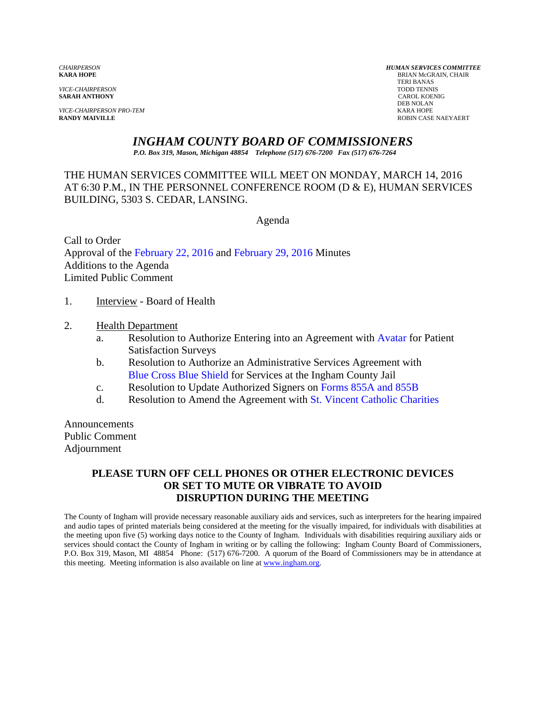**SARAH ANTHONY** 

*VICE-CHAIRPERSON PRO-TEM* KARA HOPE

*CHAIRPERSON HUMAN SERVICES COMMITTEE* **BRIAN McGRAIN, CHAIR**  TERI BANAS *VICE-CHAIRPERSON* TODD TENNIS DEB NOLAN **RANDY MAIVILLE** ROBIN CASE NAEYAERT

## *INGHAM COUNTY BOARD OF COMMISSIONERS*

*P.O. Box 319, Mason, Michigan 48854 Telephone (517) 676-7200 Fax (517) 676-7264*

## THE HUMAN SERVICES COMMITTEE WILL MEET ON MONDAY, MARCH 14, 2016 AT 6:30 P.M., IN THE PERSONNEL CONFERENCE ROOM (D & E), HUMAN SERVICES BUILDING, 5303 S. CEDAR, LANSING.

Agenda

Call to Order Approval of t[he February 22, 2016 a](#page-1-0)n[d February 29, 2016 Minutes](#page-4-0)  Additions to the Agenda Limited Public Comment

- 1. Interview Board of Health
- 2. Health Department
	- a. Resolution to Authorize Entering into an Agreement [with Avatar for Patien](#page-11-0)t Satisfaction Surveys
	- b[. Resolution to Authorize an Adm](#page-13-0)inistrative Services Agreement with [Blue Cross Blue Shield for Se](#page-15-0)rvices at the Ingham County Jail
	- c. Resolution to Update Authorized Signers o[n Forms 855A and 855B](#page-15-0)
	- d. Resolution to Amend the Agreement w[ith St. Vincent Catholic Charities](#page-17-0)

Announcements Public Comment Adjournment

## **PLEASE TURN OFF CELL PHONES OR OTHER ELECTRONIC DEVICES OR SET TO MUTE OR VIBRATE TO AVOID DISRUPTION DURING THE MEETING**

The County of Ingham will provide necessary reasonable auxiliary aids and services, such as interpreters for the hearing impaired and audio tapes of printed materials being considered at the meeting for the visually impaired, for individuals with disabilities at the meeting upon five (5) working days notice to the County of Ingham. Individuals with disabilities requiring auxiliary aids or services should contact the County of Ingham in writing or by calling the following: Ingham County Board of Commissioners, P.O. Box 319, Mason, MI 48854 Phone: (517) 676-7200. A quorum of the Board of Commissioners may be in attendance at this meeting. Meeting information is also available on line at www.ingham.org.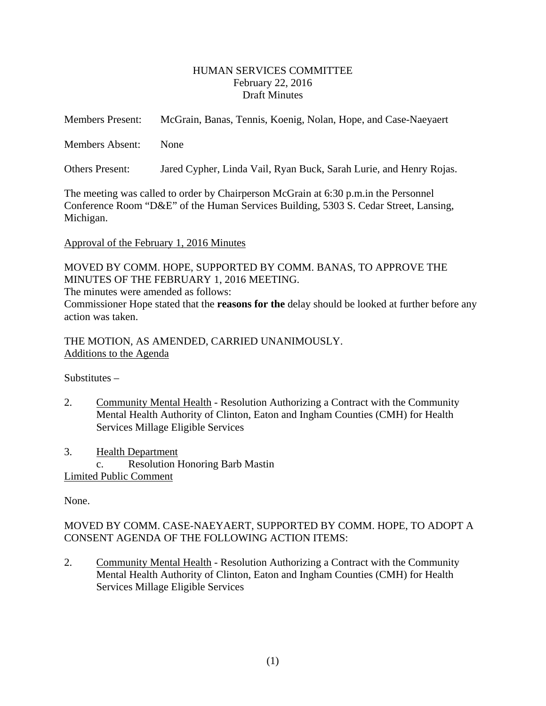#### HUMAN SERVICES COMMITTEE February 22, 2016 Draft Minutes

<span id="page-1-0"></span>

| <b>Members Present:</b> | McGrain, Banas, Tennis, Koenig, Nolan, Hope, and Case-Naeyaert     |
|-------------------------|--------------------------------------------------------------------|
| <b>Members Absent:</b>  | <b>None</b>                                                        |
| Others Present:         | Jared Cypher, Linda Vail, Ryan Buck, Sarah Lurie, and Henry Rojas. |

The meeting was called to order by Chairperson McGrain at 6:30 p.m.in the Personnel Conference Room "D&E" of the Human Services Building, 5303 S. Cedar Street, Lansing, Michigan.

#### Approval of the February 1, 2016 Minutes

MOVED BY COMM. HOPE, SUPPORTED BY COMM. BANAS, TO APPROVE THE MINUTES OF THE FEBRUARY 1, 2016 MEETING.

The minutes were amended as follows:

Commissioner Hope stated that the **reasons for the** delay should be looked at further before any action was taken.

THE MOTION, AS AMENDED, CARRIED UNANIMOUSLY. Additions to the Agenda

Substitutes –

2. Community Mental Health - Resolution Authorizing a Contract with the Community Mental Health Authority of Clinton, Eaton and Ingham Counties (CMH) for Health Services Millage Eligible Services

3. Health Department c. Resolution Honoring Barb Mastin Limited Public Comment

None.

# MOVED BY COMM. CASE-NAEYAERT, SUPPORTED BY COMM. HOPE, TO ADOPT A CONSENT AGENDA OF THE FOLLOWING ACTION ITEMS:

2. Community Mental Health - Resolution Authorizing a Contract with the Community Mental Health Authority of Clinton, Eaton and Ingham Counties (CMH) for Health Services Millage Eligible Services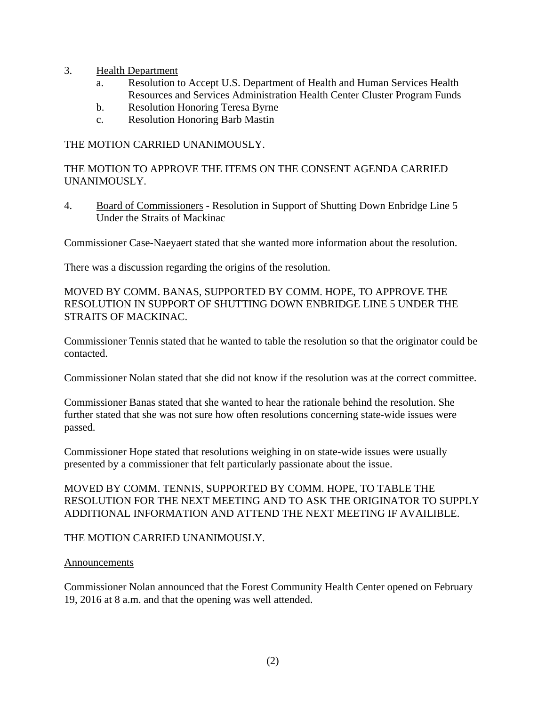- 3. Health Department
	- a. Resolution to Accept U.S. Department of Health and Human Services Health Resources and Services Administration Health Center Cluster Program Funds
	- b. Resolution Honoring Teresa Byrne
	- c. Resolution Honoring Barb Mastin

THE MOTION CARRIED UNANIMOUSLY.

THE MOTION TO APPROVE THE ITEMS ON THE CONSENT AGENDA CARRIED UNANIMOUSLY.

4. Board of Commissioners - Resolution in Support of Shutting Down Enbridge Line 5 Under the Straits of Mackinac

Commissioner Case-Naeyaert stated that she wanted more information about the resolution.

There was a discussion regarding the origins of the resolution.

MOVED BY COMM. BANAS, SUPPORTED BY COMM. HOPE, TO APPROVE THE RESOLUTION IN SUPPORT OF SHUTTING DOWN ENBRIDGE LINE 5 UNDER THE STRAITS OF MACKINAC.

Commissioner Tennis stated that he wanted to table the resolution so that the originator could be contacted.

Commissioner Nolan stated that she did not know if the resolution was at the correct committee.

Commissioner Banas stated that she wanted to hear the rationale behind the resolution. She further stated that she was not sure how often resolutions concerning state-wide issues were passed.

Commissioner Hope stated that resolutions weighing in on state-wide issues were usually presented by a commissioner that felt particularly passionate about the issue.

MOVED BY COMM. TENNIS, SUPPORTED BY COMM. HOPE, TO TABLE THE RESOLUTION FOR THE NEXT MEETING AND TO ASK THE ORIGINATOR TO SUPPLY ADDITIONAL INFORMATION AND ATTEND THE NEXT MEETING IF AVAILIBLE.

THE MOTION CARRIED UNANIMOUSLY.

#### **Announcements**

Commissioner Nolan announced that the Forest Community Health Center opened on February 19, 2016 at 8 a.m. and that the opening was well attended.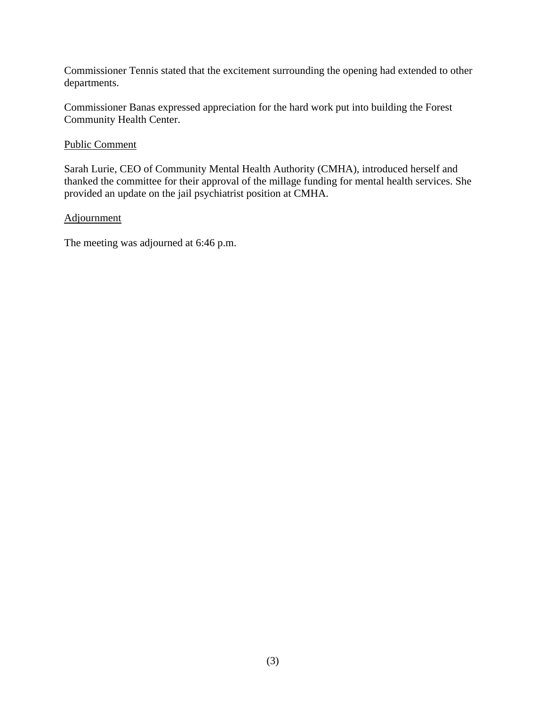Commissioner Tennis stated that the excitement surrounding the opening had extended to other departments.

Commissioner Banas expressed appreciation for the hard work put into building the Forest Community Health Center.

#### Public Comment

Sarah Lurie, CEO of Community Mental Health Authority (CMHA), introduced herself and thanked the committee for their approval of the millage funding for mental health services. She provided an update on the jail psychiatrist position at CMHA.

#### **Adjournment**

The meeting was adjourned at 6:46 p.m.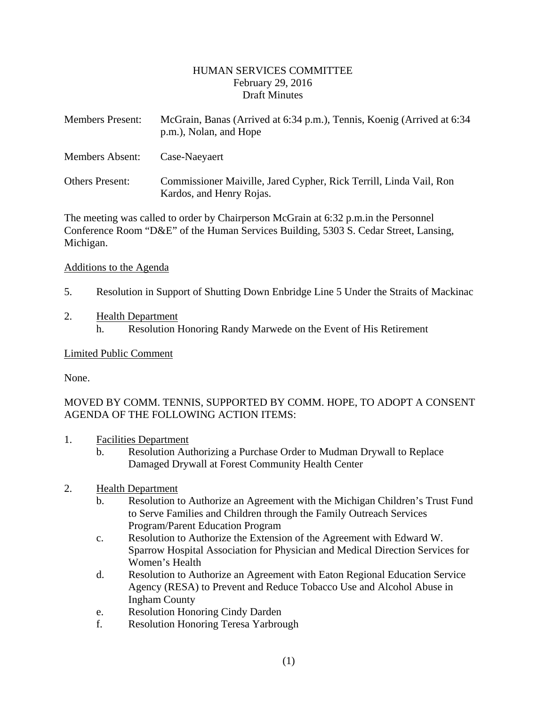#### HUMAN SERVICES COMMITTEE February 29, 2016 Draft Minutes

<span id="page-4-0"></span>

| <b>Members Present:</b> | McGrain, Banas (Arrived at 6:34 p.m.), Tennis, Koenig (Arrived at 6:34<br>p.m.), Nolan, and Hope |
|-------------------------|--------------------------------------------------------------------------------------------------|
| Members Absent:         | Case-Naeyaert                                                                                    |
| <b>Others Present:</b>  | Commissioner Maiville, Jared Cypher, Rick Terrill, Linda Vail, Ron<br>Kardos, and Henry Rojas.   |

The meeting was called to order by Chairperson McGrain at 6:32 p.m.in the Personnel Conference Room "D&E" of the Human Services Building, 5303 S. Cedar Street, Lansing, Michigan.

#### Additions to the Agenda

5. Resolution in Support of Shutting Down Enbridge Line 5 Under the Straits of Mackinac

### 2. Health Department

h. Resolution Honoring Randy Marwede on the Event of His Retirement

#### Limited Public Comment

None.

## MOVED BY COMM. TENNIS, SUPPORTED BY COMM. HOPE, TO ADOPT A CONSENT AGENDA OF THE FOLLOWING ACTION ITEMS:

- 1. Facilities Department
	- b. Resolution Authorizing a Purchase Order to Mudman Drywall to Replace Damaged Drywall at Forest Community Health Center

#### 2. Health Department

- b. Resolution to Authorize an Agreement with the Michigan Children's Trust Fund to Serve Families and Children through the Family Outreach Services Program/Parent Education Program
- c. Resolution to Authorize the Extension of the Agreement with Edward W. Sparrow Hospital Association for Physician and Medical Direction Services for Women's Health
- d. Resolution to Authorize an Agreement with Eaton Regional Education Service Agency (RESA) to Prevent and Reduce Tobacco Use and Alcohol Abuse in Ingham County
- e. Resolution Honoring Cindy Darden
- f. Resolution Honoring Teresa Yarbrough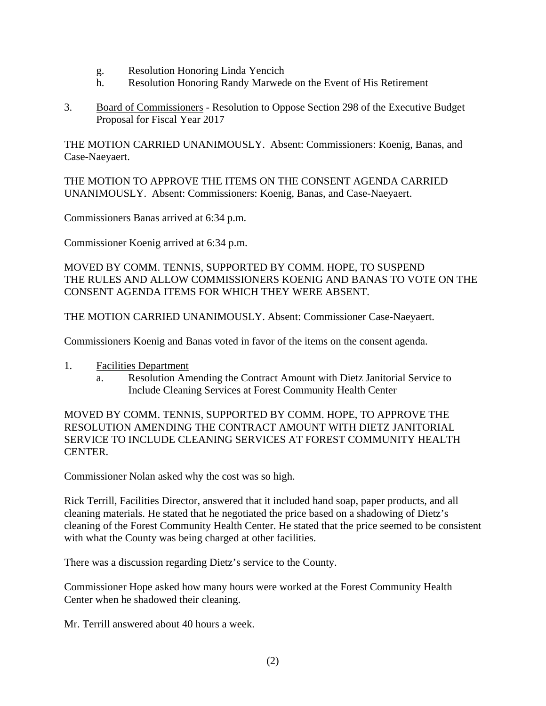- g. Resolution Honoring Linda Yencich
- h. Resolution Honoring Randy Marwede on the Event of His Retirement
- 3. Board of Commissioners Resolution to Oppose Section 298 of the Executive Budget Proposal for Fiscal Year 2017

THE MOTION CARRIED UNANIMOUSLY. Absent: Commissioners: Koenig, Banas, and Case-Naeyaert.

THE MOTION TO APPROVE THE ITEMS ON THE CONSENT AGENDA CARRIED UNANIMOUSLY. Absent: Commissioners: Koenig, Banas, and Case-Naeyaert.

Commissioners Banas arrived at 6:34 p.m.

Commissioner Koenig arrived at 6:34 p.m.

MOVED BY COMM. TENNIS, SUPPORTED BY COMM. HOPE, TO SUSPEND THE RULES AND ALLOW COMMISSIONERS KOENIG AND BANAS TO VOTE ON THE CONSENT AGENDA ITEMS FOR WHICH THEY WERE ABSENT.

THE MOTION CARRIED UNANIMOUSLY. Absent: Commissioner Case-Naeyaert.

Commissioners Koenig and Banas voted in favor of the items on the consent agenda.

- 1. Facilities Department
	- a. Resolution Amending the Contract Amount with Dietz Janitorial Service to Include Cleaning Services at Forest Community Health Center

MOVED BY COMM. TENNIS, SUPPORTED BY COMM. HOPE, TO APPROVE THE RESOLUTION AMENDING THE CONTRACT AMOUNT WITH DIETZ JANITORIAL SERVICE TO INCLUDE CLEANING SERVICES AT FOREST COMMUNITY HEALTH CENTER.

Commissioner Nolan asked why the cost was so high.

Rick Terrill, Facilities Director, answered that it included hand soap, paper products, and all cleaning materials. He stated that he negotiated the price based on a shadowing of Dietz's cleaning of the Forest Community Health Center. He stated that the price seemed to be consistent with what the County was being charged at other facilities.

There was a discussion regarding Dietz's service to the County.

Commissioner Hope asked how many hours were worked at the Forest Community Health Center when he shadowed their cleaning.

Mr. Terrill answered about 40 hours a week.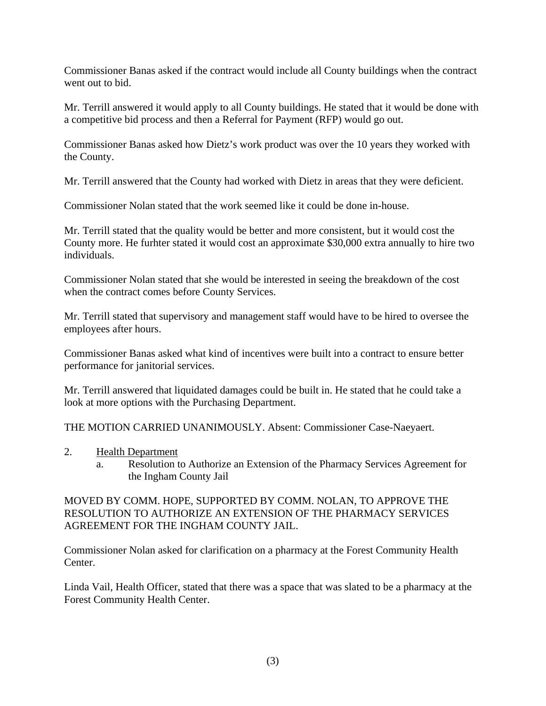Commissioner Banas asked if the contract would include all County buildings when the contract went out to bid.

Mr. Terrill answered it would apply to all County buildings. He stated that it would be done with a competitive bid process and then a Referral for Payment (RFP) would go out.

Commissioner Banas asked how Dietz's work product was over the 10 years they worked with the County.

Mr. Terrill answered that the County had worked with Dietz in areas that they were deficient.

Commissioner Nolan stated that the work seemed like it could be done in-house.

Mr. Terrill stated that the quality would be better and more consistent, but it would cost the County more. He furhter stated it would cost an approximate \$30,000 extra annually to hire two individuals.

Commissioner Nolan stated that she would be interested in seeing the breakdown of the cost when the contract comes before County Services.

Mr. Terrill stated that supervisory and management staff would have to be hired to oversee the employees after hours.

Commissioner Banas asked what kind of incentives were built into a contract to ensure better performance for janitorial services.

Mr. Terrill answered that liquidated damages could be built in. He stated that he could take a look at more options with the Purchasing Department.

THE MOTION CARRIED UNANIMOUSLY. Absent: Commissioner Case-Naeyaert.

- 2. Health Department
	- a. Resolution to Authorize an Extension of the Pharmacy Services Agreement for the Ingham County Jail

MOVED BY COMM. HOPE, SUPPORTED BY COMM. NOLAN, TO APPROVE THE RESOLUTION TO AUTHORIZE AN EXTENSION OF THE PHARMACY SERVICES AGREEMENT FOR THE INGHAM COUNTY JAIL.

Commissioner Nolan asked for clarification on a pharmacy at the Forest Community Health Center.

Linda Vail, Health Officer, stated that there was a space that was slated to be a pharmacy at the Forest Community Health Center.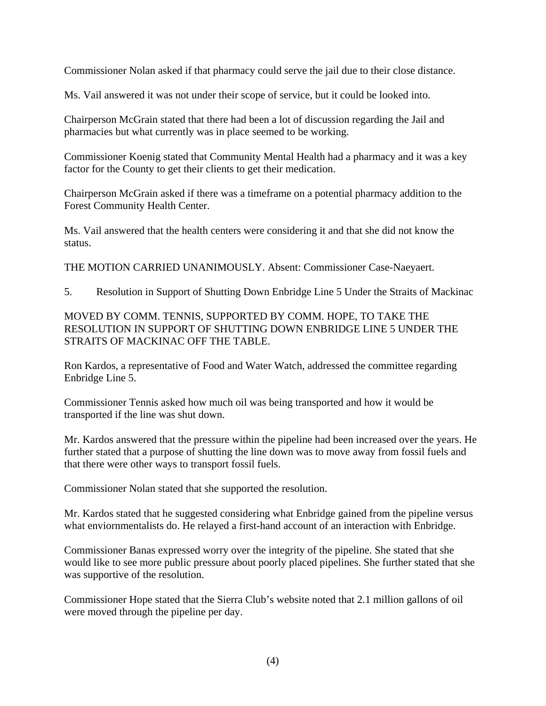Commissioner Nolan asked if that pharmacy could serve the jail due to their close distance.

Ms. Vail answered it was not under their scope of service, but it could be looked into.

Chairperson McGrain stated that there had been a lot of discussion regarding the Jail and pharmacies but what currently was in place seemed to be working.

Commissioner Koenig stated that Community Mental Health had a pharmacy and it was a key factor for the County to get their clients to get their medication.

Chairperson McGrain asked if there was a timeframe on a potential pharmacy addition to the Forest Community Health Center.

Ms. Vail answered that the health centers were considering it and that she did not know the status.

THE MOTION CARRIED UNANIMOUSLY. Absent: Commissioner Case-Naeyaert.

5. Resolution in Support of Shutting Down Enbridge Line 5 Under the Straits of Mackinac

# MOVED BY COMM. TENNIS, SUPPORTED BY COMM. HOPE, TO TAKE THE RESOLUTION IN SUPPORT OF SHUTTING DOWN ENBRIDGE LINE 5 UNDER THE STRAITS OF MACKINAC OFF THE TABLE.

Ron Kardos, a representative of Food and Water Watch, addressed the committee regarding Enbridge Line 5.

Commissioner Tennis asked how much oil was being transported and how it would be transported if the line was shut down.

Mr. Kardos answered that the pressure within the pipeline had been increased over the years. He further stated that a purpose of shutting the line down was to move away from fossil fuels and that there were other ways to transport fossil fuels.

Commissioner Nolan stated that she supported the resolution.

Mr. Kardos stated that he suggested considering what Enbridge gained from the pipeline versus what enviornmentalists do. He relayed a first-hand account of an interaction with Enbridge.

Commissioner Banas expressed worry over the integrity of the pipeline. She stated that she would like to see more public pressure about poorly placed pipelines. She further stated that she was supportive of the resolution.

Commissioner Hope stated that the Sierra Club's website noted that 2.1 million gallons of oil were moved through the pipeline per day.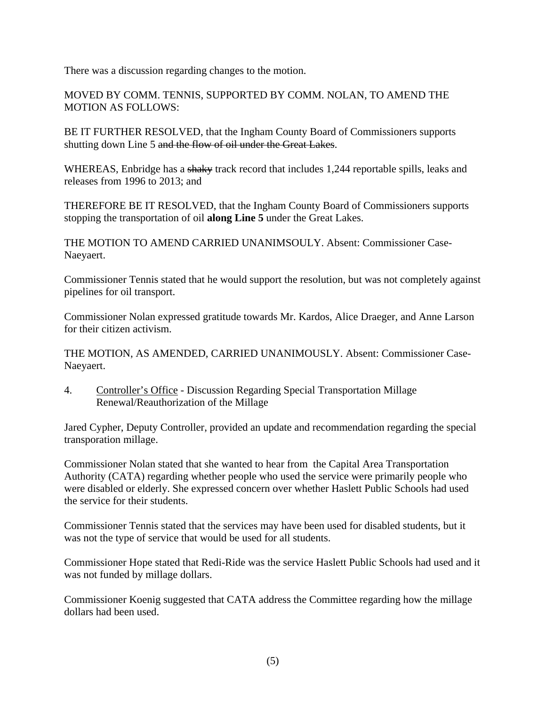There was a discussion regarding changes to the motion.

MOVED BY COMM. TENNIS, SUPPORTED BY COMM. NOLAN, TO AMEND THE MOTION AS FOLLOWS:

BE IT FURTHER RESOLVED, that the Ingham County Board of Commissioners supports shutting down Line 5 and the flow of oil under the Great Lakes.

WHEREAS, Enbridge has a shaky track record that includes 1,244 reportable spills, leaks and releases from 1996 to 2013; and

THEREFORE BE IT RESOLVED, that the Ingham County Board of Commissioners supports stopping the transportation of oil **along Line 5** under the Great Lakes.

THE MOTION TO AMEND CARRIED UNANIMSOULY. Absent: Commissioner Case-Naeyaert.

Commissioner Tennis stated that he would support the resolution, but was not completely against pipelines for oil transport.

Commissioner Nolan expressed gratitude towards Mr. Kardos, Alice Draeger, and Anne Larson for their citizen activism.

THE MOTION, AS AMENDED, CARRIED UNANIMOUSLY. Absent: Commissioner Case-Naeyaert.

4. Controller's Office - Discussion Regarding Special Transportation Millage Renewal/Reauthorization of the Millage

Jared Cypher, Deputy Controller, provided an update and recommendation regarding the special transporation millage.

Commissioner Nolan stated that she wanted to hear from the Capital Area Transportation Authority (CATA) regarding whether people who used the service were primarily people who were disabled or elderly. She expressed concern over whether Haslett Public Schools had used the service for their students.

Commissioner Tennis stated that the services may have been used for disabled students, but it was not the type of service that would be used for all students.

Commissioner Hope stated that Redi-Ride was the service Haslett Public Schools had used and it was not funded by millage dollars.

Commissioner Koenig suggested that CATA address the Committee regarding how the millage dollars had been used.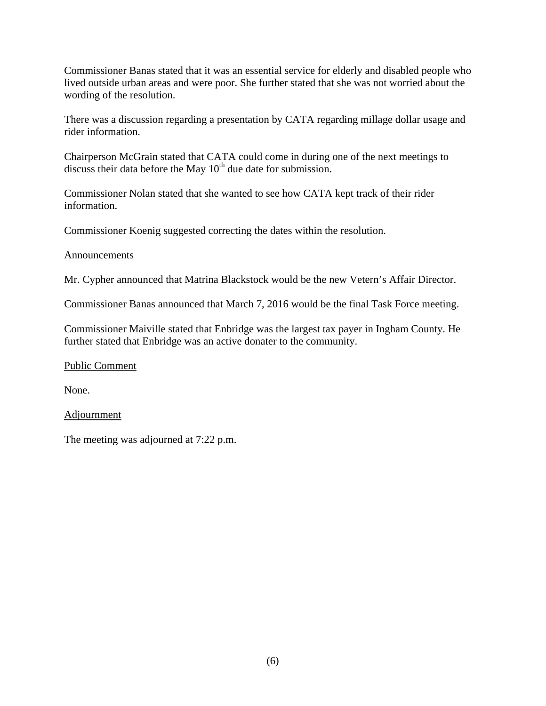Commissioner Banas stated that it was an essential service for elderly and disabled people who lived outside urban areas and were poor. She further stated that she was not worried about the wording of the resolution.

There was a discussion regarding a presentation by CATA regarding millage dollar usage and rider information.

Chairperson McGrain stated that CATA could come in during one of the next meetings to discuss their data before the May  $10<sup>th</sup>$  due date for submission.

Commissioner Nolan stated that she wanted to see how CATA kept track of their rider information.

Commissioner Koenig suggested correcting the dates within the resolution.

## Announcements

Mr. Cypher announced that Matrina Blackstock would be the new Vetern's Affair Director.

Commissioner Banas announced that March 7, 2016 would be the final Task Force meeting.

Commissioner Maiville stated that Enbridge was the largest tax payer in Ingham County. He further stated that Enbridge was an active donater to the community.

Public Comment

None.

**Adjournment** 

The meeting was adjourned at 7:22 p.m.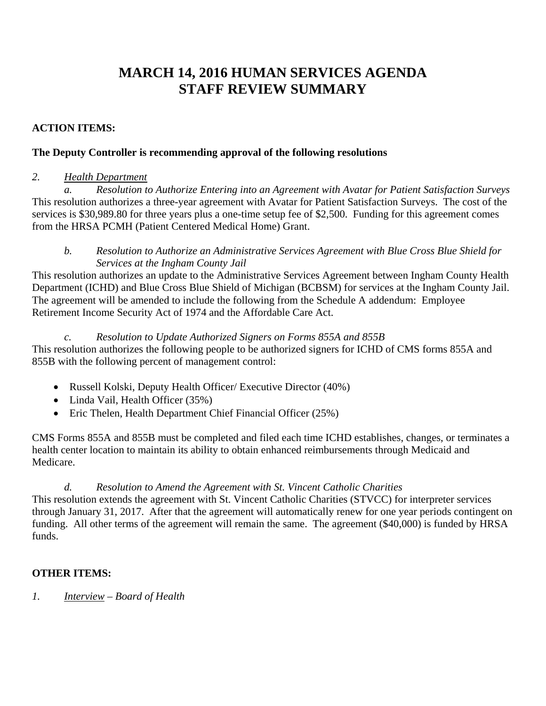# **MARCH 14, 2016 HUMAN SERVICES AGENDA STAFF REVIEW SUMMARY**

## **ACTION ITEMS:**

## **The Deputy Controller is recommending approval of the following resolutions**

## *2. Health Department*

 *a. Resolution to Authorize Entering into an Agreement with Avatar for Patient Satisfaction Surveys*  This resolution authorizes a three-year agreement with Avatar for Patient Satisfaction Surveys. The cost of the services is \$30,989.80 for three years plus a one-time setup fee of \$2,500. Funding for this agreement comes from the HRSA PCMH (Patient Centered Medical Home) Grant.

*b. Resolution to Authorize an Administrative Services Agreement with Blue Cross Blue Shield for Services at the Ingham County Jail* 

This resolution authorizes an update to the Administrative Services Agreement between Ingham County Health Department (ICHD) and Blue Cross Blue Shield of Michigan (BCBSM) for services at the Ingham County Jail. The agreement will be amended to include the following from the Schedule A addendum: Employee Retirement Income Security Act of 1974 and the Affordable Care Act.

## *c. Resolution to Update Authorized Signers on Forms 855A and 855B*

This resolution authorizes the following people to be authorized signers for ICHD of CMS forms 855A and 855B with the following percent of management control:

- Russell Kolski, Deputy Health Officer/ Executive Director (40%)
- Linda Vail, Health Officer (35%)
- Eric Thelen, Health Department Chief Financial Officer (25%)

CMS Forms 855A and 855B must be completed and filed each time ICHD establishes, changes, or terminates a health center location to maintain its ability to obtain enhanced reimbursements through Medicaid and Medicare.

## *d. Resolution to Amend the Agreement with St. Vincent Catholic Charities*

This resolution extends the agreement with St. Vincent Catholic Charities (STVCC) for interpreter services through January 31, 2017. After that the agreement will automatically renew for one year periods contingent on funding. All other terms of the agreement will remain the same. The agreement (\$40,000) is funded by HRSA funds.

# **OTHER ITEMS:**

*1. Interview – Board of Health*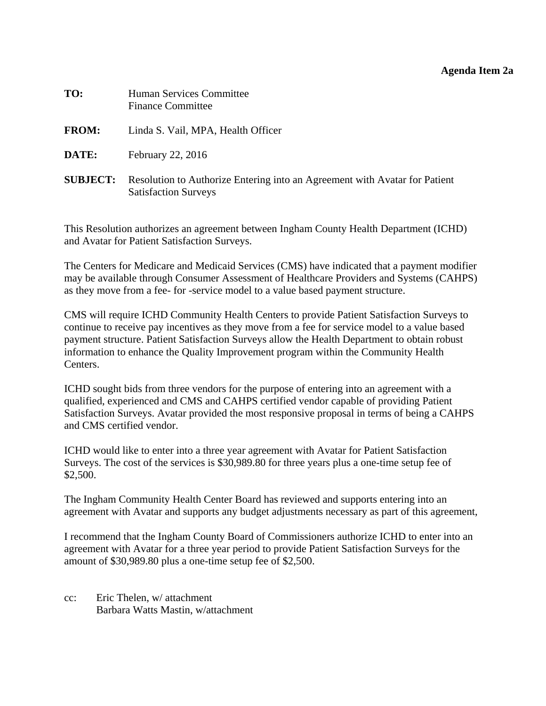#### **Agenda Item 2a**

<span id="page-11-0"></span>

| TO:             | <b>Human Services Committee</b><br><b>Finance Committee</b>                                               |
|-----------------|-----------------------------------------------------------------------------------------------------------|
| <b>FROM:</b>    | Linda S. Vail, MPA, Health Officer                                                                        |
| DATE:           | February 22, 2016                                                                                         |
| <b>SUBJECT:</b> | Resolution to Authorize Entering into an Agreement with Avatar for Patient<br><b>Satisfaction Surveys</b> |

This Resolution authorizes an agreement between Ingham County Health Department (ICHD) and Avatar for Patient Satisfaction Surveys.

The Centers for Medicare and Medicaid Services (CMS) have indicated that a payment modifier may be available through Consumer Assessment of Healthcare Providers and Systems (CAHPS) as they move from a fee- for -service model to a value based payment structure.

CMS will require ICHD Community Health Centers to provide Patient Satisfaction Surveys to continue to receive pay incentives as they move from a fee for service model to a value based payment structure. Patient Satisfaction Surveys allow the Health Department to obtain robust information to enhance the Quality Improvement program within the Community Health Centers.

ICHD sought bids from three vendors for the purpose of entering into an agreement with a qualified, experienced and CMS and CAHPS certified vendor capable of providing Patient Satisfaction Surveys. Avatar provided the most responsive proposal in terms of being a CAHPS and CMS certified vendor.

ICHD would like to enter into a three year agreement with Avatar for Patient Satisfaction Surveys. The cost of the services is \$30,989.80 for three years plus a one-time setup fee of \$2,500.

The Ingham Community Health Center Board has reviewed and supports entering into an agreement with Avatar and supports any budget adjustments necessary as part of this agreement,

I recommend that the Ingham County Board of Commissioners authorize ICHD to enter into an agreement with Avatar for a three year period to provide Patient Satisfaction Surveys for the amount of \$30,989.80 plus a one-time setup fee of \$2,500.

cc: Eric Thelen, w/ attachment Barbara Watts Mastin, w/attachment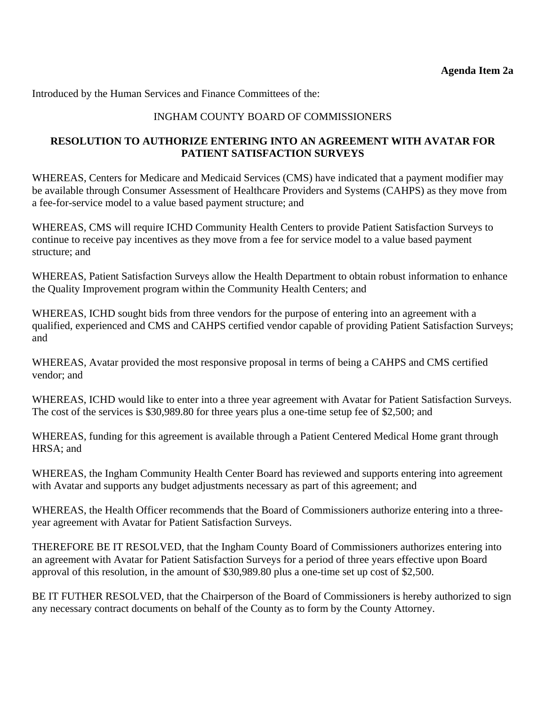## INGHAM COUNTY BOARD OF COMMISSIONERS

#### **RESOLUTION TO AUTHORIZE ENTERING INTO AN AGREEMENT WITH AVATAR FOR PATIENT SATISFACTION SURVEYS**

WHEREAS, Centers for Medicare and Medicaid Services (CMS) have indicated that a payment modifier may be available through Consumer Assessment of Healthcare Providers and Systems (CAHPS) as they move from a fee-for-service model to a value based payment structure; and

WHEREAS, CMS will require ICHD Community Health Centers to provide Patient Satisfaction Surveys to continue to receive pay incentives as they move from a fee for service model to a value based payment structure; and

WHEREAS, Patient Satisfaction Surveys allow the Health Department to obtain robust information to enhance the Quality Improvement program within the Community Health Centers; and

WHEREAS, ICHD sought bids from three vendors for the purpose of entering into an agreement with a qualified, experienced and CMS and CAHPS certified vendor capable of providing Patient Satisfaction Surveys; and

WHEREAS, Avatar provided the most responsive proposal in terms of being a CAHPS and CMS certified vendor; and

WHEREAS, ICHD would like to enter into a three year agreement with Avatar for Patient Satisfaction Surveys. The cost of the services is \$30,989.80 for three years plus a one-time setup fee of \$2,500; and

WHEREAS, funding for this agreement is available through a Patient Centered Medical Home grant through HRSA; and

WHEREAS, the Ingham Community Health Center Board has reviewed and supports entering into agreement with Avatar and supports any budget adjustments necessary as part of this agreement; and

WHEREAS, the Health Officer recommends that the Board of Commissioners authorize entering into a threeyear agreement with Avatar for Patient Satisfaction Surveys.

THEREFORE BE IT RESOLVED, that the Ingham County Board of Commissioners authorizes entering into an agreement with Avatar for Patient Satisfaction Surveys for a period of three years effective upon Board approval of this resolution, in the amount of \$30,989.80 plus a one-time set up cost of \$2,500.

BE IT FUTHER RESOLVED, that the Chairperson of the Board of Commissioners is hereby authorized to sign any necessary contract documents on behalf of the County as to form by the County Attorney.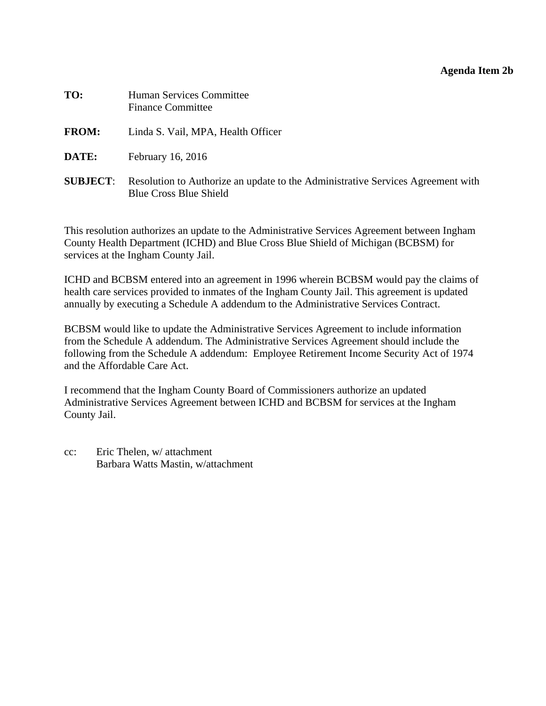#### **Agenda Item 2b**

<span id="page-13-0"></span>

| TO:             | Human Services Committee<br><b>Finance Committee</b>                                                             |
|-----------------|------------------------------------------------------------------------------------------------------------------|
| <b>FROM:</b>    | Linda S. Vail, MPA, Health Officer                                                                               |
| DATE:           | February 16, 2016                                                                                                |
| <b>SUBJECT:</b> | Resolution to Authorize an update to the Administrative Services Agreement with<br><b>Blue Cross Blue Shield</b> |

This resolution authorizes an update to the Administrative Services Agreement between Ingham County Health Department (ICHD) and Blue Cross Blue Shield of Michigan (BCBSM) for services at the Ingham County Jail.

ICHD and BCBSM entered into an agreement in 1996 wherein BCBSM would pay the claims of health care services provided to inmates of the Ingham County Jail. This agreement is updated annually by executing a Schedule A addendum to the Administrative Services Contract.

BCBSM would like to update the Administrative Services Agreement to include information from the Schedule A addendum. The Administrative Services Agreement should include the following from the Schedule A addendum: Employee Retirement Income Security Act of 1974 and the Affordable Care Act.

I recommend that the Ingham County Board of Commissioners authorize an updated Administrative Services Agreement between ICHD and BCBSM for services at the Ingham County Jail.

cc: Eric Thelen, w/ attachment Barbara Watts Mastin, w/attachment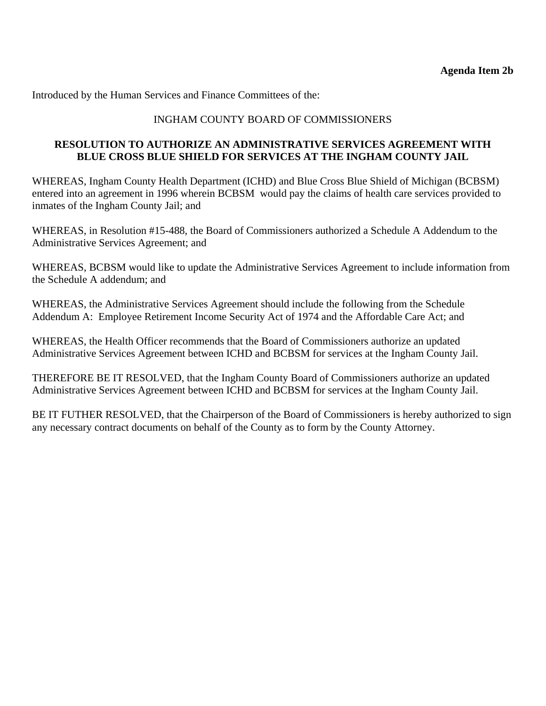## INGHAM COUNTY BOARD OF COMMISSIONERS

## **RESOLUTION TO AUTHORIZE AN ADMINISTRATIVE SERVICES AGREEMENT WITH BLUE CROSS BLUE SHIELD FOR SERVICES AT THE INGHAM COUNTY JAIL**

WHEREAS, Ingham County Health Department (ICHD) and Blue Cross Blue Shield of Michigan (BCBSM) entered into an agreement in 1996 wherein BCBSM would pay the claims of health care services provided to inmates of the Ingham County Jail; and

WHEREAS, in Resolution #15-488, the Board of Commissioners authorized a Schedule A Addendum to the Administrative Services Agreement; and

WHEREAS, BCBSM would like to update the Administrative Services Agreement to include information from the Schedule A addendum; and

WHEREAS, the Administrative Services Agreement should include the following from the Schedule Addendum A: Employee Retirement Income Security Act of 1974 and the Affordable Care Act; and

WHEREAS, the Health Officer recommends that the Board of Commissioners authorize an updated Administrative Services Agreement between ICHD and BCBSM for services at the Ingham County Jail.

THEREFORE BE IT RESOLVED, that the Ingham County Board of Commissioners authorize an updated Administrative Services Agreement between ICHD and BCBSM for services at the Ingham County Jail.

BE IT FUTHER RESOLVED, that the Chairperson of the Board of Commissioners is hereby authorized to sign any necessary contract documents on behalf of the County as to form by the County Attorney.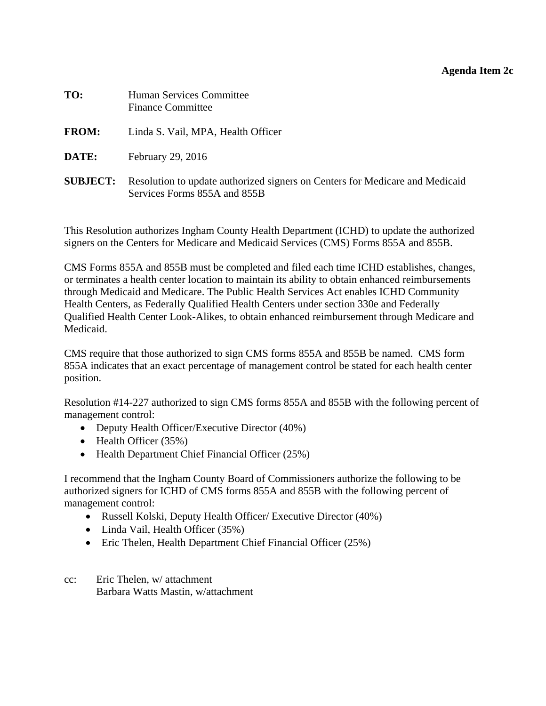### **Agenda Item 2c**

<span id="page-15-0"></span>

| TO:             | <b>Human Services Committee</b><br><b>Finance Committee</b>                                                  |
|-----------------|--------------------------------------------------------------------------------------------------------------|
| <b>FROM:</b>    | Linda S. Vail, MPA, Health Officer                                                                           |
| DATE:           | February 29, 2016                                                                                            |
| <b>SUBJECT:</b> | Resolution to update authorized signers on Centers for Medicare and Medicaid<br>Services Forms 855A and 855B |

This Resolution authorizes Ingham County Health Department (ICHD) to update the authorized signers on the Centers for Medicare and Medicaid Services (CMS) Forms 855A and 855B.

CMS Forms 855A and 855B must be completed and filed each time ICHD establishes, changes, or terminates a health center location to maintain its ability to obtain enhanced reimbursements through Medicaid and Medicare. The Public Health Services Act enables ICHD Community Health Centers, as Federally Qualified Health Centers under section 330e and Federally Qualified Health Center Look-Alikes, to obtain enhanced reimbursement through Medicare and Medicaid.

CMS require that those authorized to sign CMS forms 855A and 855B be named. CMS form 855A indicates that an exact percentage of management control be stated for each health center position.

Resolution #14-227 authorized to sign CMS forms 855A and 855B with the following percent of management control:

- Deputy Health Officer/Executive Director (40%)
- $\bullet$  Health Officer (35%)
- Health Department Chief Financial Officer (25%)

I recommend that the Ingham County Board of Commissioners authorize the following to be authorized signers for ICHD of CMS forms 855A and 855B with the following percent of management control:

- Russell Kolski, Deputy Health Officer/ Executive Director (40%)
- Linda Vail, Health Officer (35%)
- Eric Thelen, Health Department Chief Financial Officer (25%)
- cc: Eric Thelen, w/ attachment Barbara Watts Mastin, w/attachment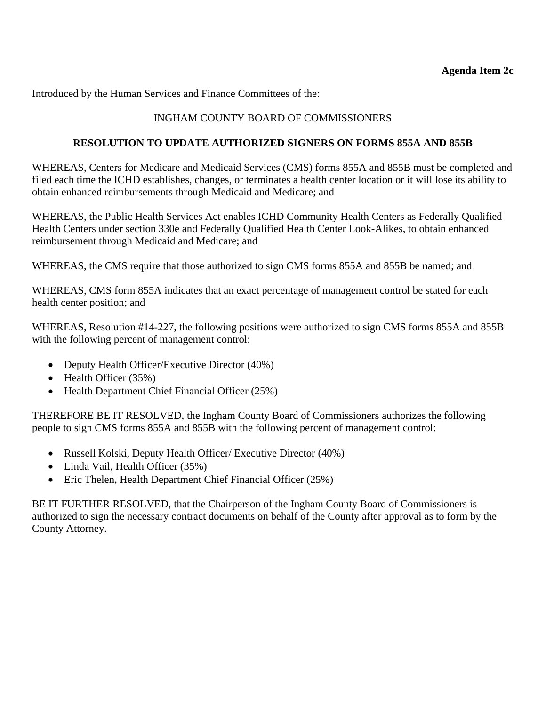# INGHAM COUNTY BOARD OF COMMISSIONERS

## **RESOLUTION TO UPDATE AUTHORIZED SIGNERS ON FORMS 855A AND 855B**

WHEREAS, Centers for Medicare and Medicaid Services (CMS) forms 855A and 855B must be completed and filed each time the ICHD establishes, changes, or terminates a health center location or it will lose its ability to obtain enhanced reimbursements through Medicaid and Medicare; and

WHEREAS, the Public Health Services Act enables ICHD Community Health Centers as Federally Qualified Health Centers under section 330e and Federally Qualified Health Center Look-Alikes, to obtain enhanced reimbursement through Medicaid and Medicare; and

WHEREAS, the CMS require that those authorized to sign CMS forms 855A and 855B be named; and

WHEREAS, CMS form 855A indicates that an exact percentage of management control be stated for each health center position; and

WHEREAS, Resolution #14-227, the following positions were authorized to sign CMS forms 855A and 855B with the following percent of management control:

- Deputy Health Officer/Executive Director (40%)
- $\bullet$  Health Officer (35%)
- Health Department Chief Financial Officer (25%)

THEREFORE BE IT RESOLVED, the Ingham County Board of Commissioners authorizes the following people to sign CMS forms 855A and 855B with the following percent of management control:

- Russell Kolski, Deputy Health Officer/ Executive Director (40%)
- Linda Vail, Health Officer (35%)
- Eric Thelen, Health Department Chief Financial Officer (25%)

BE IT FURTHER RESOLVED, that the Chairperson of the Ingham County Board of Commissioners is authorized to sign the necessary contract documents on behalf of the County after approval as to form by the County Attorney.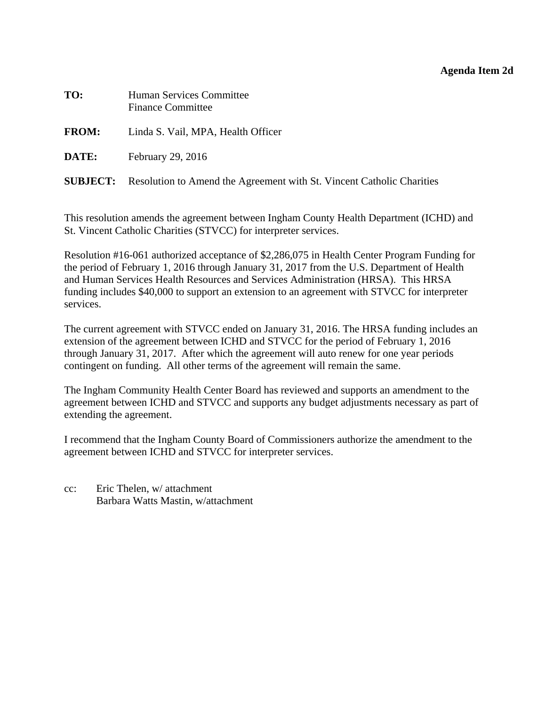#### **Agenda Item 2d**

<span id="page-17-0"></span>

| TO:          | Human Services Committee<br><b>Finance Committee</b>                                  |
|--------------|---------------------------------------------------------------------------------------|
| <b>FROM:</b> | Linda S. Vail, MPA, Health Officer                                                    |
| DATE:        | February 29, 2016                                                                     |
|              | <b>SUBJECT:</b> Resolution to Amend the Agreement with St. Vincent Catholic Charities |

This resolution amends the agreement between Ingham County Health Department (ICHD) and St. Vincent Catholic Charities (STVCC) for interpreter services.

Resolution #16-061 authorized acceptance of \$2,286,075 in Health Center Program Funding for the period of February 1, 2016 through January 31, 2017 from the U.S. Department of Health and Human Services Health Resources and Services Administration (HRSA). This HRSA funding includes \$40,000 to support an extension to an agreement with STVCC for interpreter services.

The current agreement with STVCC ended on January 31, 2016. The HRSA funding includes an extension of the agreement between ICHD and STVCC for the period of February 1, 2016 through January 31, 2017. After which the agreement will auto renew for one year periods contingent on funding. All other terms of the agreement will remain the same.

The Ingham Community Health Center Board has reviewed and supports an amendment to the agreement between ICHD and STVCC and supports any budget adjustments necessary as part of extending the agreement.

I recommend that the Ingham County Board of Commissioners authorize the amendment to the agreement between ICHD and STVCC for interpreter services.

cc: Eric Thelen, w/ attachment Barbara Watts Mastin, w/attachment